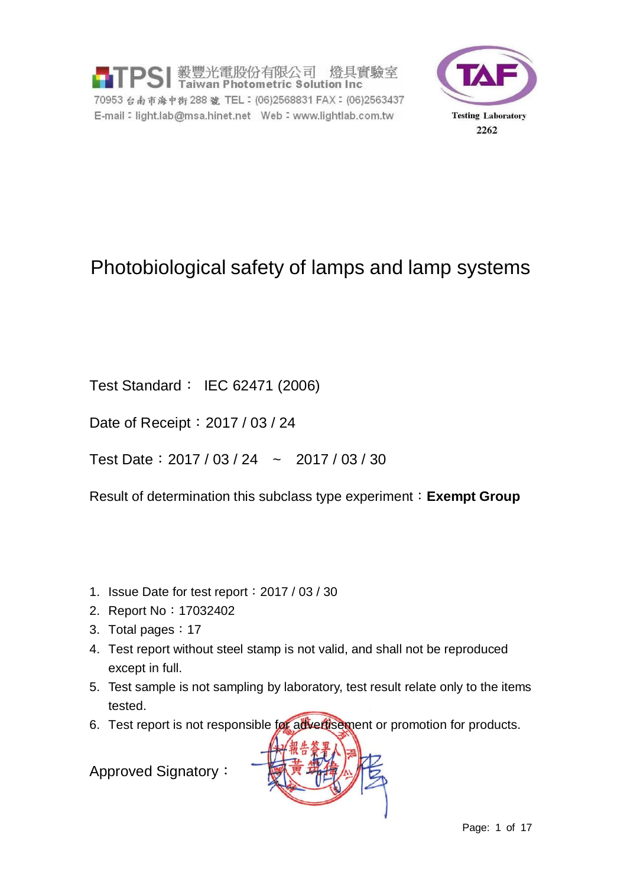毅豐光電股份有限公司 燈具實驗室 **Taiwan Photometric Solution Inc** 70953 台南市海中街 288 建 TEL: (06)2568831 FAX: (06)2563437 



# Photobiological safety of lamps and lamp systems

Test Standard: IEC 62471 (2006)

Date of Receipt: 2017 / 03 / 24

Test Date:2017 / 03 / 24 ~ 2017 / 03 / 30

Result of determination this subclass type experiment:**Exempt Group**

- 1. Issue Date for test report:2017 / 03 / 30
- 2. Report No:17032402
- 3. Total pages: 17
- 4. Test report without steel stamp is not valid, and shall not be reproduced except in full.
- 5. Test sample is not sampling by laboratory, test result relate only to the items tested.
- 6. Test report is not responsible for advertisement or promotion for products.

Approved Signatory:

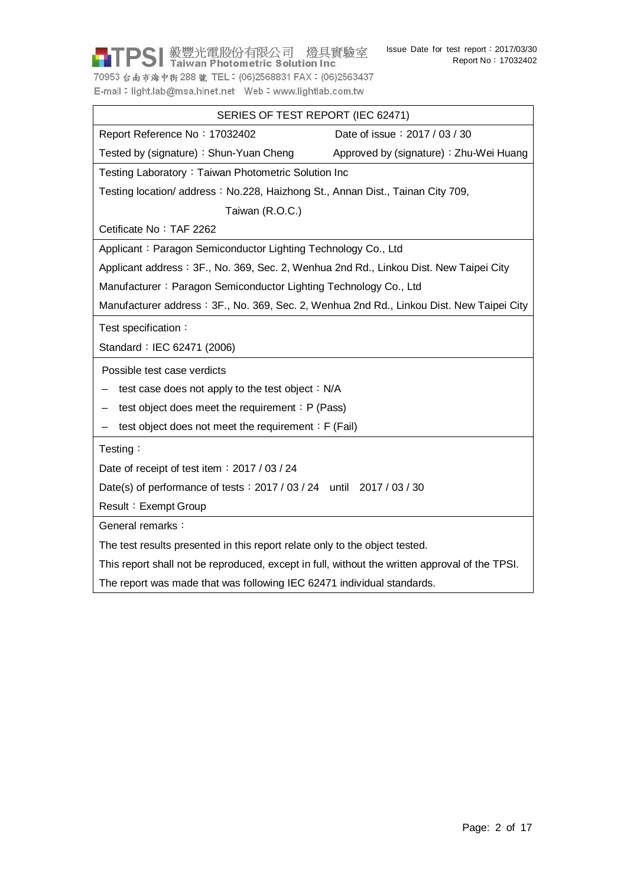

70953 台南市海中街 288 號 TEL: (06)2568831 FAX: (06)2563437 E-mail: light.lab@msa.hinet.net Web: www.lightlab.com.tw

| Report Reference No: 17032402<br>Date of issue: 2017 / 03 / 30<br>Tested by (signature): Shun-Yuan Cheng<br>Approved by (signature) : Zhu-Wei Huang<br>Testing Laboratory: Taiwan Photometric Solution Inc<br>Testing location/ address: No.228, Haizhong St., Annan Dist., Tainan City 709,<br>Taiwan (R.O.C.)<br>Cetificate No: TAF 2262<br>Applicant: Paragon Semiconductor Lighting Technology Co., Ltd<br>Applicant address: 3F., No. 369, Sec. 2, Wenhua 2nd Rd., Linkou Dist. New Taipei City<br>Manufacturer: Paragon Semiconductor Lighting Technology Co., Ltd<br>Manufacturer address: 3F., No. 369, Sec. 2, Wenhua 2nd Rd., Linkou Dist. New Taipei City<br>Test specification:<br>Standard: IEC 62471 (2006)<br>Possible test case verdicts<br>test case does not apply to the test object: N/A<br>test object does meet the requirement: P (Pass) |  |  |  |  |
|-----------------------------------------------------------------------------------------------------------------------------------------------------------------------------------------------------------------------------------------------------------------------------------------------------------------------------------------------------------------------------------------------------------------------------------------------------------------------------------------------------------------------------------------------------------------------------------------------------------------------------------------------------------------------------------------------------------------------------------------------------------------------------------------------------------------------------------------------------------------|--|--|--|--|
|                                                                                                                                                                                                                                                                                                                                                                                                                                                                                                                                                                                                                                                                                                                                                                                                                                                                 |  |  |  |  |
|                                                                                                                                                                                                                                                                                                                                                                                                                                                                                                                                                                                                                                                                                                                                                                                                                                                                 |  |  |  |  |
|                                                                                                                                                                                                                                                                                                                                                                                                                                                                                                                                                                                                                                                                                                                                                                                                                                                                 |  |  |  |  |
|                                                                                                                                                                                                                                                                                                                                                                                                                                                                                                                                                                                                                                                                                                                                                                                                                                                                 |  |  |  |  |
|                                                                                                                                                                                                                                                                                                                                                                                                                                                                                                                                                                                                                                                                                                                                                                                                                                                                 |  |  |  |  |
|                                                                                                                                                                                                                                                                                                                                                                                                                                                                                                                                                                                                                                                                                                                                                                                                                                                                 |  |  |  |  |
|                                                                                                                                                                                                                                                                                                                                                                                                                                                                                                                                                                                                                                                                                                                                                                                                                                                                 |  |  |  |  |
|                                                                                                                                                                                                                                                                                                                                                                                                                                                                                                                                                                                                                                                                                                                                                                                                                                                                 |  |  |  |  |
|                                                                                                                                                                                                                                                                                                                                                                                                                                                                                                                                                                                                                                                                                                                                                                                                                                                                 |  |  |  |  |
|                                                                                                                                                                                                                                                                                                                                                                                                                                                                                                                                                                                                                                                                                                                                                                                                                                                                 |  |  |  |  |
|                                                                                                                                                                                                                                                                                                                                                                                                                                                                                                                                                                                                                                                                                                                                                                                                                                                                 |  |  |  |  |
|                                                                                                                                                                                                                                                                                                                                                                                                                                                                                                                                                                                                                                                                                                                                                                                                                                                                 |  |  |  |  |
|                                                                                                                                                                                                                                                                                                                                                                                                                                                                                                                                                                                                                                                                                                                                                                                                                                                                 |  |  |  |  |
|                                                                                                                                                                                                                                                                                                                                                                                                                                                                                                                                                                                                                                                                                                                                                                                                                                                                 |  |  |  |  |
|                                                                                                                                                                                                                                                                                                                                                                                                                                                                                                                                                                                                                                                                                                                                                                                                                                                                 |  |  |  |  |
| test object does not meet the requirement $: F$ (Fail)                                                                                                                                                                                                                                                                                                                                                                                                                                                                                                                                                                                                                                                                                                                                                                                                          |  |  |  |  |
| Testing:                                                                                                                                                                                                                                                                                                                                                                                                                                                                                                                                                                                                                                                                                                                                                                                                                                                        |  |  |  |  |
| Date of receipt of test item: 2017 / 03 / 24                                                                                                                                                                                                                                                                                                                                                                                                                                                                                                                                                                                                                                                                                                                                                                                                                    |  |  |  |  |
| Date(s) of performance of tests: 2017 / 03 / 24 until 2017 / 03 / 30                                                                                                                                                                                                                                                                                                                                                                                                                                                                                                                                                                                                                                                                                                                                                                                            |  |  |  |  |
| Result: Exempt Group                                                                                                                                                                                                                                                                                                                                                                                                                                                                                                                                                                                                                                                                                                                                                                                                                                            |  |  |  |  |
| General remarks:                                                                                                                                                                                                                                                                                                                                                                                                                                                                                                                                                                                                                                                                                                                                                                                                                                                |  |  |  |  |
| The test results presented in this report relate only to the object tested.                                                                                                                                                                                                                                                                                                                                                                                                                                                                                                                                                                                                                                                                                                                                                                                     |  |  |  |  |
| This report shall not be reproduced, except in full, without the written approval of the TPSI.                                                                                                                                                                                                                                                                                                                                                                                                                                                                                                                                                                                                                                                                                                                                                                  |  |  |  |  |
| The report was made that was following IEC 62471 individual standards.                                                                                                                                                                                                                                                                                                                                                                                                                                                                                                                                                                                                                                                                                                                                                                                          |  |  |  |  |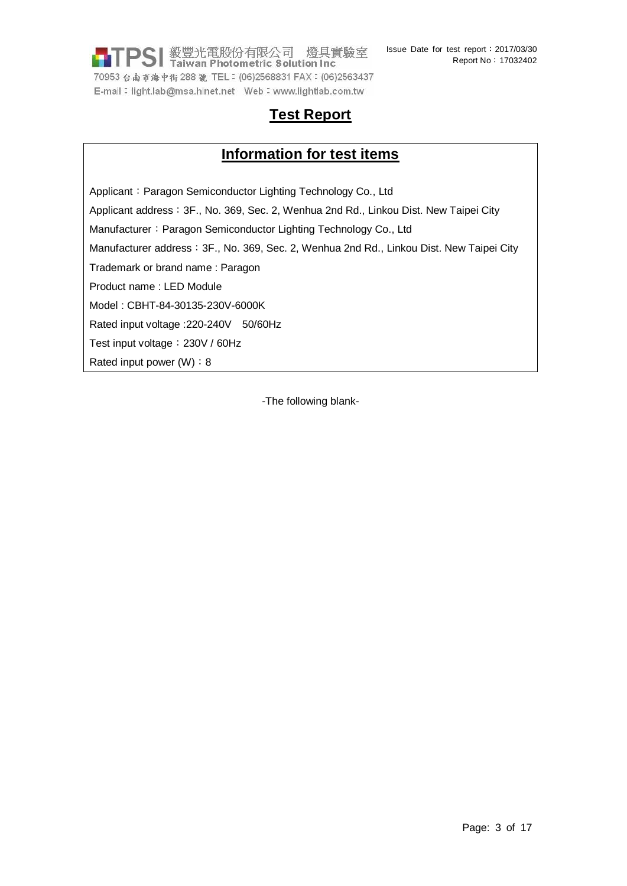

#### **Test Report**

#### **Information for test items**

Applicant: Paragon Semiconductor Lighting Technology Co., Ltd Applicant address:3F., No. 369, Sec. 2, Wenhua 2nd Rd., Linkou Dist. New Taipei City Manufacturer: Paragon Semiconductor Lighting Technology Co., Ltd Manufacturer address: 3F., No. 369, Sec. 2, Wenhua 2nd Rd., Linkou Dist. New Taipei City Trademark or brand name : Paragon Product name : LED Module Model : CBHT-84-30135-230V-6000K Rated input voltage :220-240V 50/60Hz Test input voltage: 230V / 60Hz Rated input power (W): 8

-The following blank-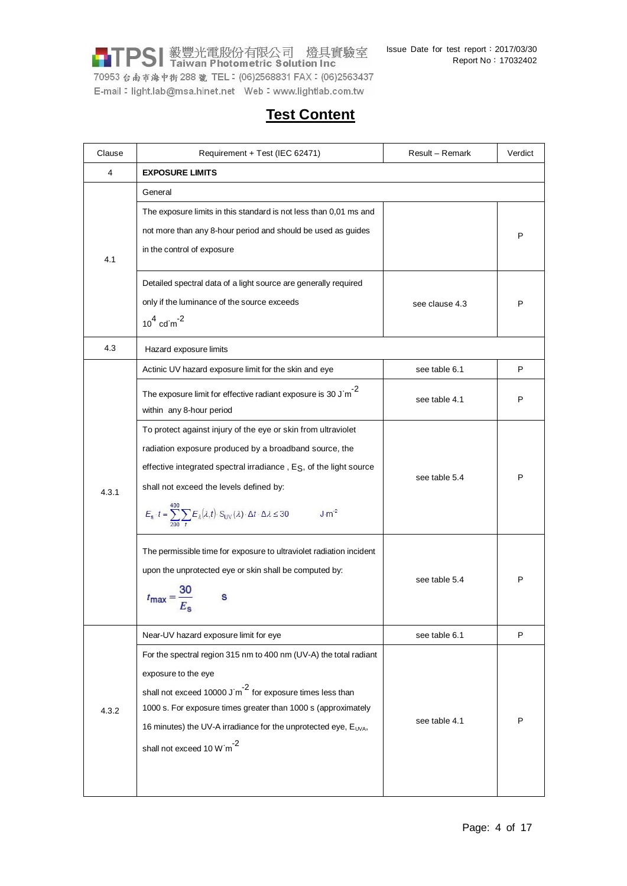

**Test Content**

| Clause | Requirement + Test (IEC 62471)                                                                                                                       | Result - Remark | Verdict |  |  |  |  |
|--------|------------------------------------------------------------------------------------------------------------------------------------------------------|-----------------|---------|--|--|--|--|
| 4      | <b>EXPOSURE LIMITS</b>                                                                                                                               |                 |         |  |  |  |  |
|        | General                                                                                                                                              |                 |         |  |  |  |  |
|        | The exposure limits in this standard is not less than 0,01 ms and                                                                                    |                 |         |  |  |  |  |
|        | not more than any 8-hour period and should be used as guides                                                                                         |                 | P       |  |  |  |  |
| 4.1    | in the control of exposure                                                                                                                           |                 |         |  |  |  |  |
|        | Detailed spectral data of a light source are generally required                                                                                      |                 |         |  |  |  |  |
|        | only if the luminance of the source exceeds                                                                                                          | see clause 4.3  | P       |  |  |  |  |
|        | $10^4$ cd m <sup>-2</sup>                                                                                                                            |                 |         |  |  |  |  |
|        |                                                                                                                                                      |                 |         |  |  |  |  |
| 4.3    | Hazard exposure limits                                                                                                                               |                 |         |  |  |  |  |
|        | Actinic UV hazard exposure limit for the skin and eye                                                                                                | see table 6.1   | P       |  |  |  |  |
|        | The exposure limit for effective radiant exposure is 30 J $m^{-2}$                                                                                   | see table 4.1   | P       |  |  |  |  |
|        | within any 8-hour period                                                                                                                             |                 |         |  |  |  |  |
|        | To protect against injury of the eye or skin from ultraviolet                                                                                        |                 |         |  |  |  |  |
|        | radiation exposure produced by a broadband source, the                                                                                               |                 |         |  |  |  |  |
|        | effective integrated spectral irradiance, ES, of the light source                                                                                    | see table 5.4   | P       |  |  |  |  |
| 4.3.1  | shall not exceed the levels defined by:                                                                                                              |                 |         |  |  |  |  |
|        | $E_s \tcdot t = \sum_{n=1}^{400} \sum_i E_{\lambda}(\lambda_i t) \cdot S_{UV}(\lambda) \cdot \Delta t \cdot \Delta \lambda \le 30$ J·m <sup>-2</sup> |                 |         |  |  |  |  |
|        | The permissible time for exposure to ultraviolet radiation incident                                                                                  |                 |         |  |  |  |  |
|        | upon the unprotected eye or skin shall be computed by:                                                                                               |                 |         |  |  |  |  |
|        |                                                                                                                                                      | see table 5.4   | P       |  |  |  |  |
|        | $t_{\text{max}}$ =                                                                                                                                   |                 |         |  |  |  |  |
|        | Near-UV hazard exposure limit for eye                                                                                                                | see table 6.1   | P       |  |  |  |  |
|        | For the spectral region 315 nm to 400 nm (UV-A) the total radiant                                                                                    |                 |         |  |  |  |  |
|        | exposure to the eye                                                                                                                                  |                 |         |  |  |  |  |
|        | shall not exceed 10000 J m <sup>-2</sup> for exposure times less than                                                                                |                 |         |  |  |  |  |
| 4.3.2  | 1000 s. For exposure times greater than 1000 s (approximately                                                                                        |                 |         |  |  |  |  |
|        | 16 minutes) the UV-A irradiance for the unprotected eye, EUVA,                                                                                       | see table 4.1   | P       |  |  |  |  |
|        | shall not exceed 10 W'm <sup>-2</sup>                                                                                                                |                 |         |  |  |  |  |
|        |                                                                                                                                                      |                 |         |  |  |  |  |
|        |                                                                                                                                                      |                 |         |  |  |  |  |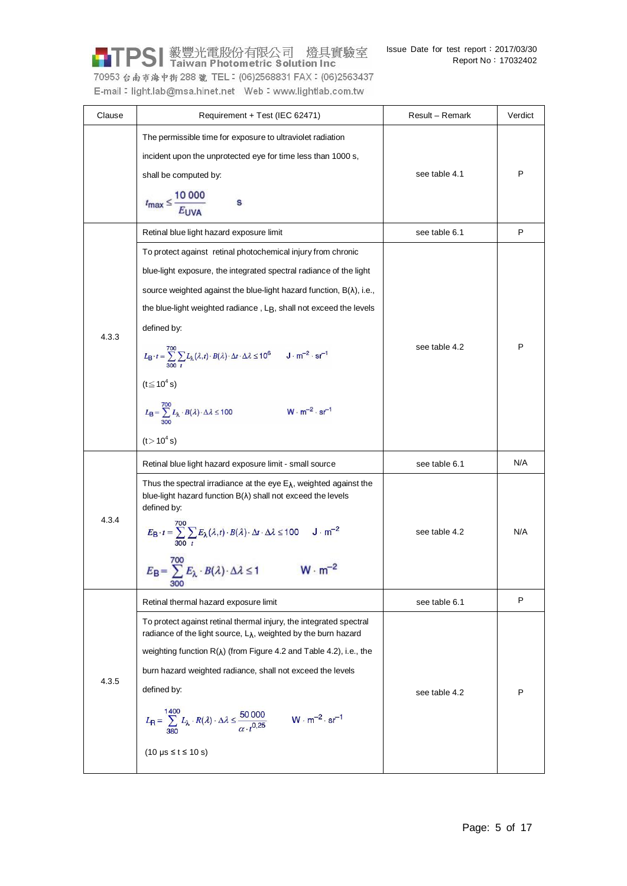TPSI 毅豐光電股份有限公司 燈具實驗室

70953 台南市海中街 288 號 TEL: (06)2568831 FAX: (06)2563437 

| Clause | Requirement + Test (IEC 62471)                                                                                                                                                                                                                                                                                                                                                                                                                                                                                                                                                                                                                                                            | Result - Remark | Verdict |
|--------|-------------------------------------------------------------------------------------------------------------------------------------------------------------------------------------------------------------------------------------------------------------------------------------------------------------------------------------------------------------------------------------------------------------------------------------------------------------------------------------------------------------------------------------------------------------------------------------------------------------------------------------------------------------------------------------------|-----------------|---------|
|        | The permissible time for exposure to ultraviolet radiation<br>incident upon the unprotected eye for time less than 1000 s,<br>shall be computed by:<br>$t_{\text{max}} \leq \frac{10\,000}{E_{\text{IIVA}}}$<br>s                                                                                                                                                                                                                                                                                                                                                                                                                                                                         | see table 4.1   | P       |
|        | Retinal blue light hazard exposure limit                                                                                                                                                                                                                                                                                                                                                                                                                                                                                                                                                                                                                                                  | see table 6.1   | P       |
| 4.3.3  | To protect against retinal photochemical injury from chronic<br>blue-light exposure, the integrated spectral radiance of the light<br>source weighted against the blue-light hazard function, $B(\lambda)$ , i.e.,<br>the blue-light weighted radiance, L <sub>B</sub> , shall not exceed the levels<br>defined by:<br>$L_{\rm B} \cdot t = \sum_{300}^{700} \sum_{t} L_{\lambda}(\lambda, t) \cdot B(\lambda) \cdot \Delta t \cdot \Delta \lambda \le 10^6$ J $\cdot$ m <sup>-2</sup> $\cdot$ sr <sup>-1</sup><br>$(t \leq 10^4 s)$<br>$L_{\rm B} = \sum_{300}^{700} L_{\lambda} \cdot B(\lambda) \cdot \Delta \lambda \le 100$ W · m <sup>-2</sup> · sr <sup>-1</sup><br>$(t > 10^4 s)$ | see table 4.2   | P       |
|        | Retinal blue light hazard exposure limit - small source                                                                                                                                                                                                                                                                                                                                                                                                                                                                                                                                                                                                                                   | see table 6.1   | N/A     |
| 4.3.4  | Thus the spectral irradiance at the eye $E_{\lambda}$ , weighted against the<br>blue-light hazard function $B(\lambda)$ shall not exceed the levels<br>defined by:<br>$E_{\rm B} \cdot t = \sum_{300}^{700} \sum_{t} E_{\lambda}(\lambda, t) \cdot B(\lambda) \cdot \Delta t \cdot \Delta \lambda \le 100 \quad \text{J} \cdot \text{m}^{-2}$<br>$E_{\rm B} = \sum_{t}^{700} E_{\lambda} \cdot B(\lambda) \cdot \Delta \lambda \le 1 \quad \text{W} \cdot \text{m}^{-2}$<br>300                                                                                                                                                                                                           | see table 4.2   | N/A     |
|        | Retinal thermal hazard exposure limit                                                                                                                                                                                                                                                                                                                                                                                                                                                                                                                                                                                                                                                     | see table 6.1   | P       |
| 4.3.5  | To protect against retinal thermal injury, the integrated spectral<br>radiance of the light source, $LA$ , weighted by the burn hazard<br>weighting function $R(\lambda)$ (from Figure 4.2 and Table 4.2), i.e., the<br>burn hazard weighted radiance, shall not exceed the levels<br>defined by:<br>$L_{\mathsf{R}} = \sum_{380}^{1400} L_{\lambda} \cdot R(\lambda) \cdot \Delta \lambda \leq \frac{50\,000}{\alpha \cdot t^{0.25}}$<br>$W \cdot m^{-2} \cdot sr^{-1}$<br>$(10 \text{ }\mu\text{s} \leq t \leq 10 \text{ s})$                                                                                                                                                           | see table 4.2   | P       |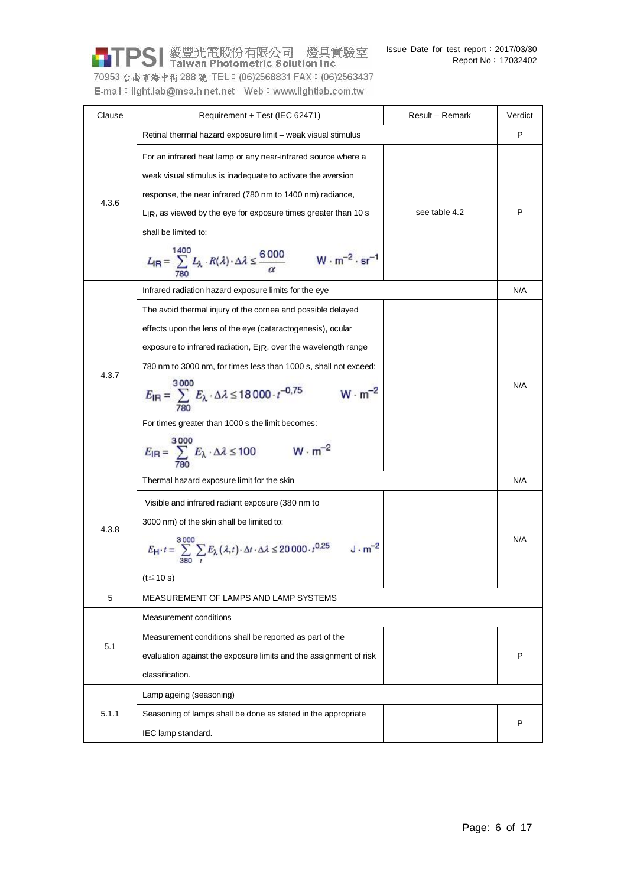PSI 毅豐光電股份有限公司 燈具實驗室 70953 台南市海中街 288 號 TEL: (06)2568831 FAX: (06)2563437

E-mail: light.lab@msa.hinet.net Web: www.lightlab.com.tw

| Clause | Requirement + Test (IEC 62471)                                                                                                                                  | Result - Remark | Verdict |  |  |
|--------|-----------------------------------------------------------------------------------------------------------------------------------------------------------------|-----------------|---------|--|--|
|        | Retinal thermal hazard exposure limit - weak visual stimulus                                                                                                    |                 | P       |  |  |
|        | For an infrared heat lamp or any near-infrared source where a                                                                                                   |                 |         |  |  |
|        | weak visual stimulus is inadequate to activate the aversion                                                                                                     |                 |         |  |  |
| 4.3.6  | response, the near infrared (780 nm to 1400 nm) radiance,                                                                                                       |                 |         |  |  |
|        | L <sub>IR</sub> , as viewed by the eye for exposure times greater than 10 s                                                                                     | see table 4.2   | P       |  |  |
|        | shall be limited to:                                                                                                                                            |                 |         |  |  |
|        | 1400<br>$L_{\text{IR}} = \sum_{\text{res}}^{1900} L_{\lambda} \cdot R(\lambda) \cdot \Delta \lambda \leq \frac{6000}{\alpha}$<br>$W \cdot m^{-2} \cdot sr^{-1}$ |                 |         |  |  |
|        | Infrared radiation hazard exposure limits for the eye                                                                                                           |                 | N/A     |  |  |
|        | The avoid thermal injury of the cornea and possible delayed                                                                                                     |                 |         |  |  |
|        | effects upon the lens of the eye (cataractogenesis), ocular                                                                                                     |                 |         |  |  |
|        | exposure to infrared radiation, E <sub>IR</sub> , over the wavelength range                                                                                     |                 |         |  |  |
| 4.3.7  | 780 nm to 3000 nm, for times less than 1000 s, shall not exceed:                                                                                                |                 |         |  |  |
|        | 3000<br>$E_{\text{IR}} = \sum_{\tau \ge 0} E_{\lambda} \cdot \Delta \lambda \le 18000 \cdot t^{-0.75}$<br>$W \cdot m^{-2}$                                      |                 |         |  |  |
|        | For times greater than 1000 s the limit becomes:                                                                                                                |                 |         |  |  |
|        | $E_{\text{IR}} = \sum_{n=1}^{3000} E_{\lambda} \cdot \Delta \lambda \le 100$<br>$W \cdot m^{-2}$                                                                |                 |         |  |  |
|        | Thermal hazard exposure limit for the skin                                                                                                                      |                 | N/A     |  |  |
|        | Visible and infrared radiant exposure (380 nm to                                                                                                                |                 |         |  |  |
| 4.3.8  | 3000 nm) of the skin shall be limited to:                                                                                                                       |                 |         |  |  |
|        | $E_{\mathsf{H}} \cdot t = \sum_{380}^{3000} \sum_{t} E_{\lambda}(\lambda, t) \cdot \Delta t \cdot \Delta \lambda \le 20000 \cdot t^{0.25}$<br>$J \cdot m^{-2}$  |                 |         |  |  |
|        | (t≦10 s)                                                                                                                                                        |                 |         |  |  |
| 5      | MEASUREMENT OF LAMPS AND LAMP SYSTEMS                                                                                                                           |                 |         |  |  |
|        | Measurement conditions                                                                                                                                          |                 |         |  |  |
| 5.1    | Measurement conditions shall be reported as part of the                                                                                                         |                 |         |  |  |
|        | evaluation against the exposure limits and the assignment of risk                                                                                               |                 | P       |  |  |
|        | classification.                                                                                                                                                 |                 |         |  |  |
|        | Lamp ageing (seasoning)                                                                                                                                         |                 |         |  |  |
| 5.1.1  | Seasoning of lamps shall be done as stated in the appropriate                                                                                                   |                 | P       |  |  |
|        | IEC lamp standard.                                                                                                                                              |                 |         |  |  |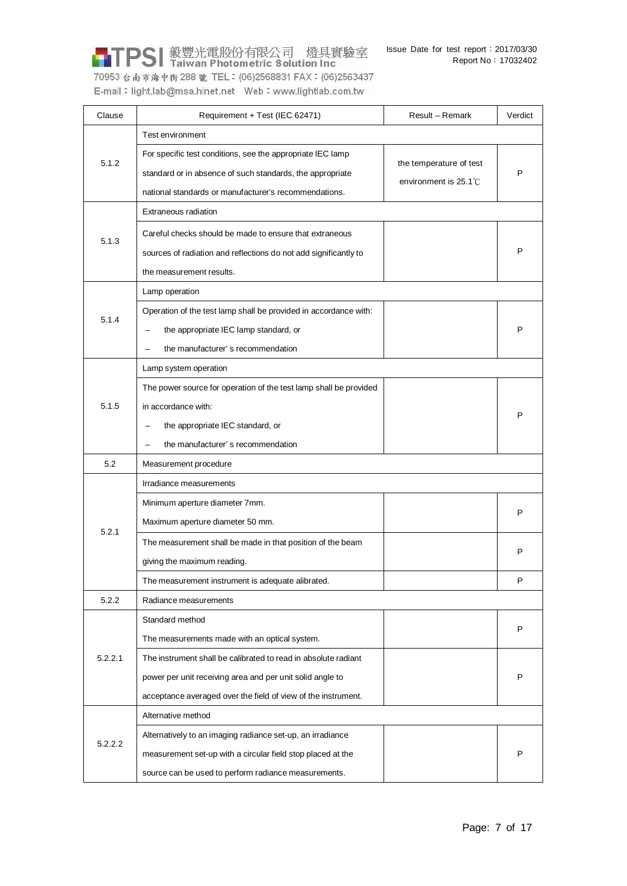PSI 毅豐光電股份有限公司 燈具實驗室 70953 台南市海中街 288 號 TEL: (06)2568831 FAX: (06)2563437 E-mail: light.lab@msa.hinet.net Web: www.lightlab.com.tw

| Clause  | Requirement + Test (IEC 62471)                                                                                                                                                               | Result - Remark                                            | Verdict |
|---------|----------------------------------------------------------------------------------------------------------------------------------------------------------------------------------------------|------------------------------------------------------------|---------|
|         | Test environment                                                                                                                                                                             |                                                            |         |
| 5.1.2   | For specific test conditions, see the appropriate IEC lamp<br>standard or in absence of such standards, the appropriate<br>national standards or manufacturer's recommendations.             | the temperature of test<br>environment is $25.1^{\circ}$ C | P       |
|         | Extraneous radiation                                                                                                                                                                         |                                                            |         |
| 5.1.3   | Careful checks should be made to ensure that extraneous<br>sources of radiation and reflections do not add significantly to<br>the measurement results.                                      |                                                            | P       |
|         | Lamp operation                                                                                                                                                                               |                                                            |         |
| 5.1.4   | Operation of the test lamp shall be provided in accordance with:<br>the appropriate IEC lamp standard, or<br>the manufacturer's recommendation                                               |                                                            | P       |
|         | Lamp system operation                                                                                                                                                                        |                                                            |         |
| 5.1.5   | The power source for operation of the test lamp shall be provided<br>in accordance with:<br>the appropriate IEC standard, or<br>the manufacturer's recommendation                            |                                                            | P       |
| 5.2     | Measurement procedure                                                                                                                                                                        |                                                            |         |
|         | Irradiance measurements                                                                                                                                                                      |                                                            |         |
|         | Minimum aperture diameter 7mm.<br>Maximum aperture diameter 50 mm.                                                                                                                           |                                                            | P       |
| 5.2.1   | The measurement shall be made in that position of the beam<br>giving the maximum reading.                                                                                                    |                                                            | P       |
|         | The measurement instrument is adequate alibrated.                                                                                                                                            |                                                            | P       |
| 5.2.2   | Radiance measurements                                                                                                                                                                        |                                                            |         |
|         | Standard method<br>The measurements made with an optical system.                                                                                                                             |                                                            | P       |
| 5.2.2.1 | The instrument shall be calibrated to read in absolute radiant<br>power per unit receiving area and per unit solid angle to<br>acceptance averaged over the field of view of the instrument. |                                                            | P       |
|         | Alternative method                                                                                                                                                                           |                                                            |         |
| 5.2.2.2 | Alternatively to an imaging radiance set-up, an irradiance<br>measurement set-up with a circular field stop placed at the<br>source can be used to perform radiance measurements.            |                                                            | P       |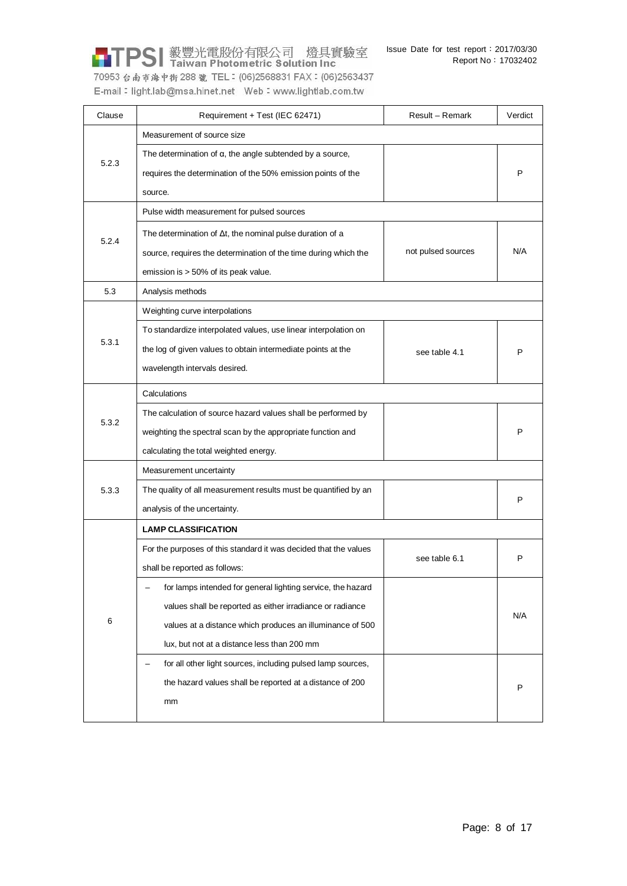

70953 台南市海中街 288 號 TEL: (06)2568831 FAX: (06)2563437 E-mail: light.lab@msa.hinet.net Web: www.lightlab.com.tw

| Clause | Requirement + Test (IEC 62471)                                    | Result - Remark    | Verdict |  |  |  |
|--------|-------------------------------------------------------------------|--------------------|---------|--|--|--|
|        | Measurement of source size                                        |                    |         |  |  |  |
| 5.2.3  | The determination of $\alpha$ , the angle subtended by a source,  |                    |         |  |  |  |
|        | requires the determination of the 50% emission points of the      |                    | P       |  |  |  |
|        | source.                                                           |                    |         |  |  |  |
|        | Pulse width measurement for pulsed sources                        |                    |         |  |  |  |
| 5.2.4  | The determination of $\Delta t$ , the nominal pulse duration of a |                    |         |  |  |  |
|        | source, requires the determination of the time during which the   | not pulsed sources | N/A     |  |  |  |
|        | emission is > 50% of its peak value.                              |                    |         |  |  |  |
| 5.3    | Analysis methods                                                  |                    |         |  |  |  |
|        | Weighting curve interpolations                                    |                    |         |  |  |  |
|        | To standardize interpolated values, use linear interpolation on   |                    |         |  |  |  |
| 5.3.1  | the log of given values to obtain intermediate points at the      | see table 4.1      | P       |  |  |  |
|        | wavelength intervals desired.                                     |                    |         |  |  |  |
|        | Calculations                                                      |                    |         |  |  |  |
| 5.3.2  | The calculation of source hazard values shall be performed by     |                    |         |  |  |  |
|        | weighting the spectral scan by the appropriate function and       |                    | P       |  |  |  |
|        | calculating the total weighted energy.                            |                    |         |  |  |  |
|        | Measurement uncertainty                                           |                    |         |  |  |  |
| 5.3.3  | The quality of all measurement results must be quantified by an   |                    | P       |  |  |  |
|        | analysis of the uncertainty.                                      |                    |         |  |  |  |
|        | <b>LAMP CLASSIFICATION</b>                                        |                    |         |  |  |  |
|        | For the purposes of this standard it was decided that the values  | see table 6.1      | P       |  |  |  |
|        | shall be reported as follows:                                     |                    |         |  |  |  |
|        | for lamps intended for general lighting service, the hazard       |                    |         |  |  |  |
|        | values shall be reported as either irradiance or radiance         |                    | N/A     |  |  |  |
| 6      | values at a distance which produces an illuminance of 500         |                    |         |  |  |  |
|        | lux, but not at a distance less than 200 mm                       |                    |         |  |  |  |
|        | for all other light sources, including pulsed lamp sources,       |                    |         |  |  |  |
|        | the hazard values shall be reported at a distance of 200          |                    | P       |  |  |  |
|        | mm                                                                |                    |         |  |  |  |
|        |                                                                   |                    |         |  |  |  |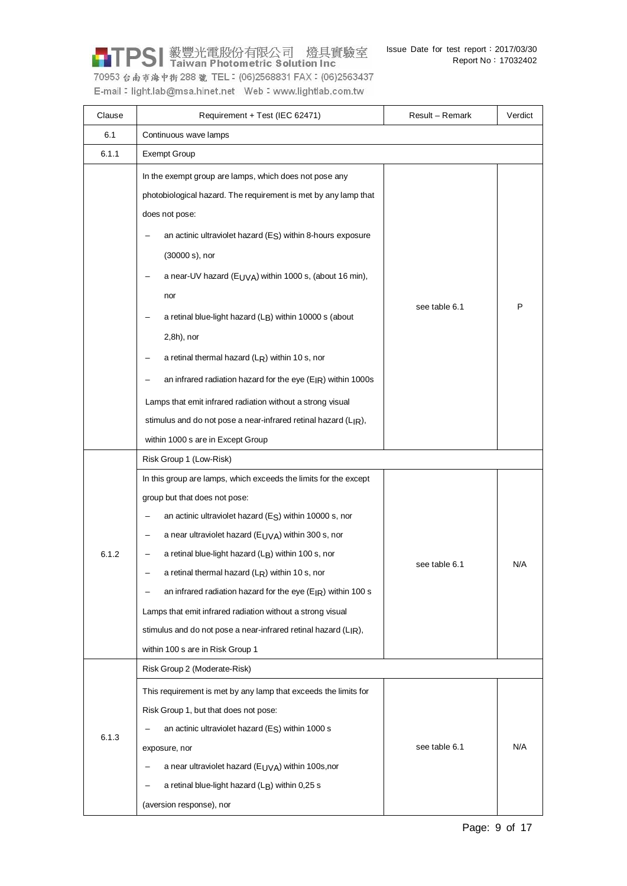PSI 毅豐光電股份有限公司 燈具實驗室

70953 台南市海中街 288 號 TEL: (06)2568831 FAX: (06)2563437 E-mail: light.lab@msa.hinet.net Web: www.lightlab.com.tw

| Clause | Requirement + Test (IEC 62471)                                              | Result – Remark | Verdict |  |  |
|--------|-----------------------------------------------------------------------------|-----------------|---------|--|--|
| 6.1    | Continuous wave lamps                                                       |                 |         |  |  |
| 6.1.1  | <b>Exempt Group</b>                                                         |                 |         |  |  |
|        | In the exempt group are lamps, which does not pose any                      |                 |         |  |  |
|        | photobiological hazard. The requirement is met by any lamp that             |                 |         |  |  |
|        | does not pose:                                                              |                 |         |  |  |
|        | an actinic ultraviolet hazard (ES) within 8-hours exposure                  |                 |         |  |  |
|        | (30000 s), nor                                                              |                 |         |  |  |
|        | a near-UV hazard ( $EUVA$ ) within 1000 s, (about 16 min),                  |                 |         |  |  |
|        | nor                                                                         |                 |         |  |  |
|        | a retinal blue-light hazard (LB) within 10000 s (about                      | see table 6.1   | P       |  |  |
|        | $2,8h$ ), nor                                                               |                 |         |  |  |
|        | a retinal thermal hazard $(L_R)$ within 10 s, nor                           |                 |         |  |  |
|        | an infrared radiation hazard for the eye (EIR) within 1000s                 |                 |         |  |  |
|        | Lamps that emit infrared radiation without a strong visual                  |                 |         |  |  |
|        | stimulus and do not pose a near-infrared retinal hazard $(L_{IR})$ ,        |                 |         |  |  |
|        | within 1000 s are in Except Group                                           |                 |         |  |  |
|        | Risk Group 1 (Low-Risk)                                                     |                 |         |  |  |
|        | In this group are lamps, which exceeds the limits for the except            |                 |         |  |  |
|        | group but that does not pose:                                               |                 |         |  |  |
|        | an actinic ultraviolet hazard $(Es)$ within 10000 s, nor                    |                 |         |  |  |
|        | a near ultraviolet hazard ( $EUVA$ ) within 300 s, nor<br>$\qquad \qquad -$ |                 |         |  |  |
| 6.1.2  | a retinal blue-light hazard (L <sub>B</sub> ) within 100 s, nor             | see table 6.1   | N/A     |  |  |
|        | a retinal thermal hazard $(L_R)$ within 10 s, nor                           |                 |         |  |  |
|        | an infrared radiation hazard for the eye $(E_{IR})$ within 100 s            |                 |         |  |  |
|        | Lamps that emit infrared radiation without a strong visual                  |                 |         |  |  |
|        | stimulus and do not pose a near-infrared retinal hazard $(L_{IR})$ ,        |                 |         |  |  |
|        | within 100 s are in Risk Group 1                                            |                 |         |  |  |
|        | Risk Group 2 (Moderate-Risk)                                                |                 |         |  |  |
|        | This requirement is met by any lamp that exceeds the limits for             |                 |         |  |  |
|        | Risk Group 1, but that does not pose:                                       |                 |         |  |  |
| 6.1.3  | an actinic ultraviolet hazard (ES) within 1000 s                            |                 |         |  |  |
|        | exposure, nor                                                               | see table 6.1   | N/A     |  |  |
|        | a near ultraviolet hazard ( $EUVA$ ) within 100s, nor                       |                 |         |  |  |
|        | a retinal blue-light hazard (LB) within 0,25 s                              |                 |         |  |  |
|        | (aversion response), nor                                                    |                 |         |  |  |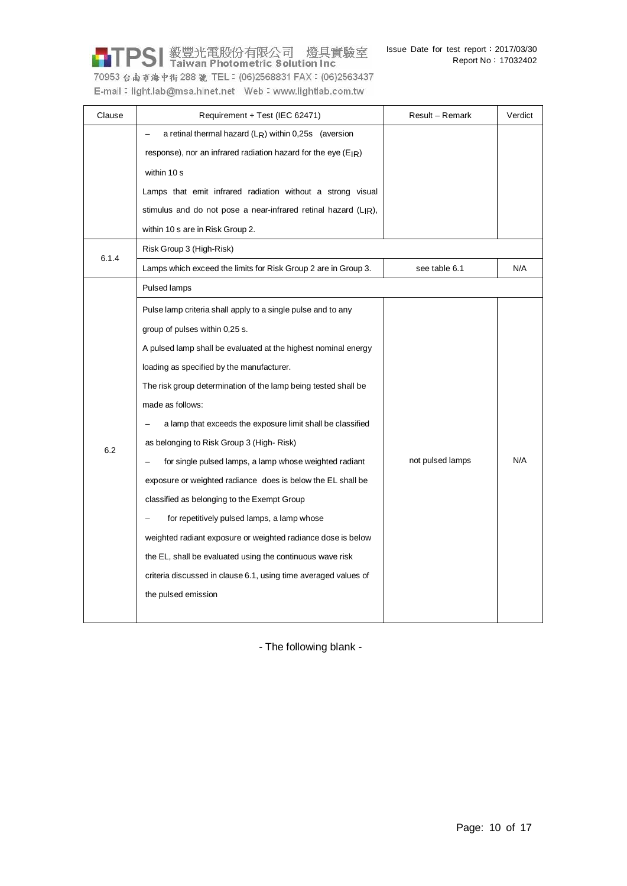**PSI** 毅豐光電股份有限公司 燈具實驗室

70953 台南市海中街 288 號 TEL: (06)2568831 FAX: (06)2563437 E-mail: light.lab@msa.hinet.net Web: www.lightlab.com.tw

| Clause | Requirement + Test (IEC 62471)                                     | Result – Remark  | Verdict |  |  |  |
|--------|--------------------------------------------------------------------|------------------|---------|--|--|--|
|        | a retinal thermal hazard $(L_R)$ within 0,25s (aversion            |                  |         |  |  |  |
|        | response), nor an infrared radiation hazard for the eye $(E_{IR})$ |                  |         |  |  |  |
|        | within 10 s                                                        |                  |         |  |  |  |
|        | Lamps that emit infrared radiation without a strong visual         |                  |         |  |  |  |
|        | stimulus and do not pose a near-infrared retinal hazard (LIR),     |                  |         |  |  |  |
|        | within 10 s are in Risk Group 2.                                   |                  |         |  |  |  |
|        | Risk Group 3 (High-Risk)                                           |                  |         |  |  |  |
| 6.1.4  | Lamps which exceed the limits for Risk Group 2 are in Group 3.     | see table 6.1    | N/A     |  |  |  |
|        | Pulsed lamps                                                       |                  |         |  |  |  |
|        | Pulse lamp criteria shall apply to a single pulse and to any       |                  |         |  |  |  |
|        | group of pulses within 0,25 s.                                     |                  |         |  |  |  |
|        | A pulsed lamp shall be evaluated at the highest nominal energy     |                  |         |  |  |  |
|        | loading as specified by the manufacturer.                          |                  |         |  |  |  |
|        | The risk group determination of the lamp being tested shall be     |                  |         |  |  |  |
|        | made as follows:                                                   |                  |         |  |  |  |
|        | a lamp that exceeds the exposure limit shall be classified         |                  |         |  |  |  |
| 6.2    | as belonging to Risk Group 3 (High-Risk)                           |                  |         |  |  |  |
|        | for single pulsed lamps, a lamp whose weighted radiant             | not pulsed lamps | N/A     |  |  |  |
|        | exposure or weighted radiance does is below the EL shall be        |                  |         |  |  |  |
|        | classified as belonging to the Exempt Group                        |                  |         |  |  |  |
|        | for repetitively pulsed lamps, a lamp whose                        |                  |         |  |  |  |
|        | weighted radiant exposure or weighted radiance dose is below       |                  |         |  |  |  |
|        | the EL, shall be evaluated using the continuous wave risk          |                  |         |  |  |  |
|        | criteria discussed in clause 6.1, using time averaged values of    |                  |         |  |  |  |
|        | the pulsed emission                                                |                  |         |  |  |  |
|        |                                                                    |                  |         |  |  |  |

- The following blank -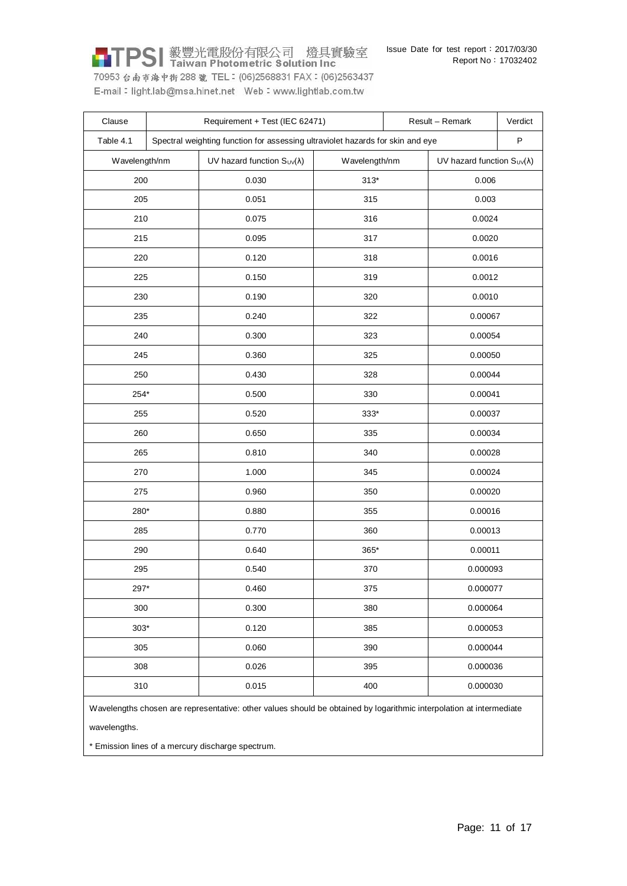毅豐光電股份有限公司 燈具實驗室

70953 台南市海中街 288 號 TEL: (06)2568831 FAX: (06)2563437 E-mail: light.lab@msa.hinet.net Web: www.lightlab.com.tw

**PSI** 

| Clause        | Requirement + Test (IEC 62471)                                                 |                                      |               | Result - Remark | Verdict                              |  |
|---------------|--------------------------------------------------------------------------------|--------------------------------------|---------------|-----------------|--------------------------------------|--|
| Table 4.1     | Spectral weighting function for assessing ultraviolet hazards for skin and eye |                                      |               |                 | ${\sf P}$                            |  |
| Wavelength/nm |                                                                                | UV hazard function $S_{UV}(\lambda)$ | Wavelength/nm |                 | UV hazard function $S_{UV}(\lambda)$ |  |
| 200           |                                                                                | 0.030                                | $313*$        |                 | 0.006                                |  |
| 205           |                                                                                | 0.051                                | 315           |                 | 0.003                                |  |
| 210           |                                                                                | 0.075                                | 316           |                 | 0.0024                               |  |
| 215           |                                                                                | 0.095                                | 317           |                 | 0.0020                               |  |
| 220           |                                                                                | 0.120                                | 318           |                 | 0.0016                               |  |
| 225           |                                                                                | 0.150                                | 319           |                 | 0.0012                               |  |
| 230           |                                                                                | 0.190                                | 320           |                 | 0.0010                               |  |
| 235           |                                                                                | 0.240                                | 322           |                 | 0.00067                              |  |
| 240           |                                                                                | 0.300                                | 323           |                 | 0.00054                              |  |
| 245           |                                                                                | 0.360                                | 325           |                 | 0.00050                              |  |
| 250           |                                                                                | 0.430                                | 328           |                 | 0.00044                              |  |
| 254*          |                                                                                | 0.500                                | 330           |                 | 0.00041                              |  |
| 255           |                                                                                | 0.520                                | $333*$        |                 | 0.00037                              |  |
| 260           |                                                                                | 0.650                                | 335           |                 | 0.00034                              |  |
| 265           |                                                                                | 0.810                                | 340           |                 | 0.00028                              |  |
| 270           |                                                                                | 1.000                                | 345           |                 | 0.00024                              |  |
| 275           |                                                                                | 0.960                                | 350           |                 | 0.00020                              |  |
| 280*          |                                                                                | 0.880                                | 355           |                 | 0.00016                              |  |
| 285           |                                                                                | 0.770                                | 360           |                 | 0.00013                              |  |
| 290           |                                                                                | 0.640                                | 365*          |                 | 0.00011                              |  |
| 295           |                                                                                | 0.540                                | 370           |                 | 0.000093                             |  |
| 297*          |                                                                                | 0.460                                | 375           |                 | 0.000077                             |  |
| 300           |                                                                                | 0.300                                | 380           |                 | 0.000064                             |  |
| $303*$        |                                                                                | 0.120                                | 385           |                 | 0.000053                             |  |
| 305           |                                                                                | 0.060                                | 390           |                 | 0.000044                             |  |
| 308           |                                                                                | 0.026                                | 395           |                 | 0.000036                             |  |
| 310           |                                                                                | 0.015                                | 400           |                 | 0.000030                             |  |

Wavelengths chosen are representative: other values should be obtained by logarithmic interpolation at intermediate

wavelengths.

\* Emission lines of a mercury discharge spectrum.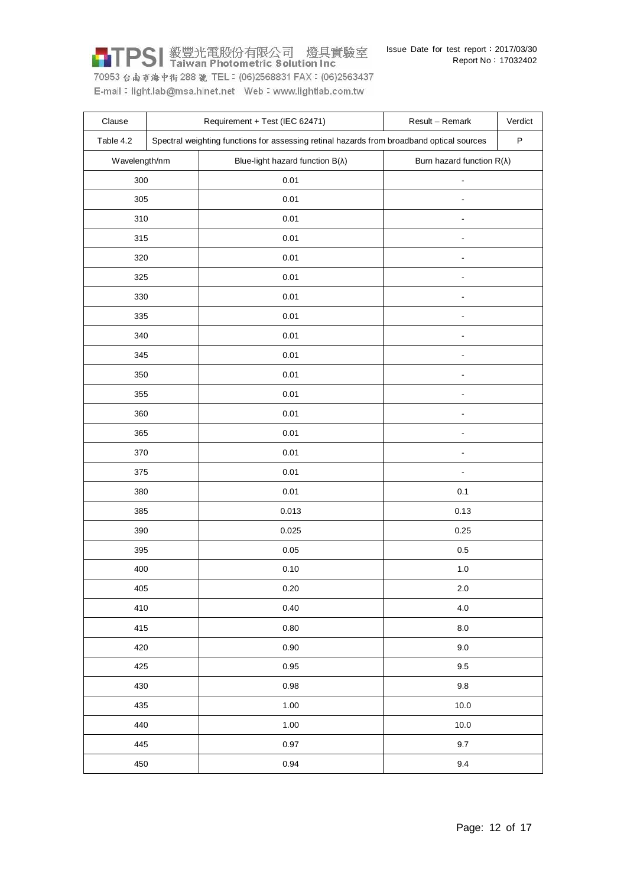TTPSI 毅豐光電股份有限公司 燈具實驗室

70953 台南市海中街 288 號 TEL: (06)2568831 FAX: (06)2563437 E-mail: light.lab@msa.hinet.net Web: www.lightlab.com.tw

| Clause                                                                                                 | Requirement + Test (IEC 62471) |                                         | Result - Remark                   | Verdict |
|--------------------------------------------------------------------------------------------------------|--------------------------------|-----------------------------------------|-----------------------------------|---------|
| Table 4.2<br>Spectral weighting functions for assessing retinal hazards from broadband optical sources |                                |                                         |                                   | $\sf P$ |
| Wavelength/nm                                                                                          |                                | Blue-light hazard function $B(\lambda)$ | Burn hazard function $R(\lambda)$ |         |
| 300                                                                                                    |                                | 0.01                                    |                                   |         |
| 305                                                                                                    |                                | 0.01                                    |                                   |         |
| 310                                                                                                    |                                | 0.01                                    |                                   |         |
| 315                                                                                                    |                                | 0.01                                    | ÷,                                |         |
| 320                                                                                                    |                                | 0.01                                    | $\overline{\phantom{a}}$          |         |
| 325                                                                                                    |                                | 0.01                                    |                                   |         |
| 330                                                                                                    |                                | 0.01                                    |                                   |         |
| 335                                                                                                    |                                | 0.01                                    |                                   |         |
| 340                                                                                                    |                                | 0.01                                    |                                   |         |
| 345                                                                                                    |                                | 0.01                                    |                                   |         |
| 350                                                                                                    |                                | 0.01                                    |                                   |         |
| 355                                                                                                    |                                | 0.01                                    |                                   |         |
| 360                                                                                                    |                                | 0.01                                    |                                   |         |
| 365                                                                                                    |                                | 0.01                                    |                                   |         |
| 370                                                                                                    |                                | 0.01                                    |                                   |         |
| 375                                                                                                    |                                | 0.01                                    | $\overline{\phantom{a}}$          |         |
| 380                                                                                                    |                                | 0.01                                    | 0.1                               |         |
| 385                                                                                                    |                                | 0.013                                   | 0.13                              |         |
| 390                                                                                                    |                                | 0.025                                   | 0.25                              |         |
| 395                                                                                                    |                                | $0.05\,$                                | $0.5\,$                           |         |
| 400                                                                                                    |                                | 0.10                                    | $1.0$                             |         |
| 405                                                                                                    |                                | 0.20                                    | 2.0                               |         |
| 410                                                                                                    |                                | 0.40                                    | $4.0\,$                           |         |
| 415                                                                                                    |                                | 0.80                                    | $8.0\,$                           |         |
| 420                                                                                                    |                                | 0.90                                    | $9.0\,$                           |         |
| 425                                                                                                    |                                | 0.95                                    | 9.5                               |         |
| 430                                                                                                    |                                | 0.98                                    | $9.8\,$                           |         |
| 435                                                                                                    |                                | 1.00                                    | 10.0                              |         |
| 440                                                                                                    |                                | 1.00                                    | 10.0                              |         |
| 445                                                                                                    |                                | $0.97\,$                                | 9.7                               |         |
| 450                                                                                                    |                                | 0.94                                    | 9.4                               |         |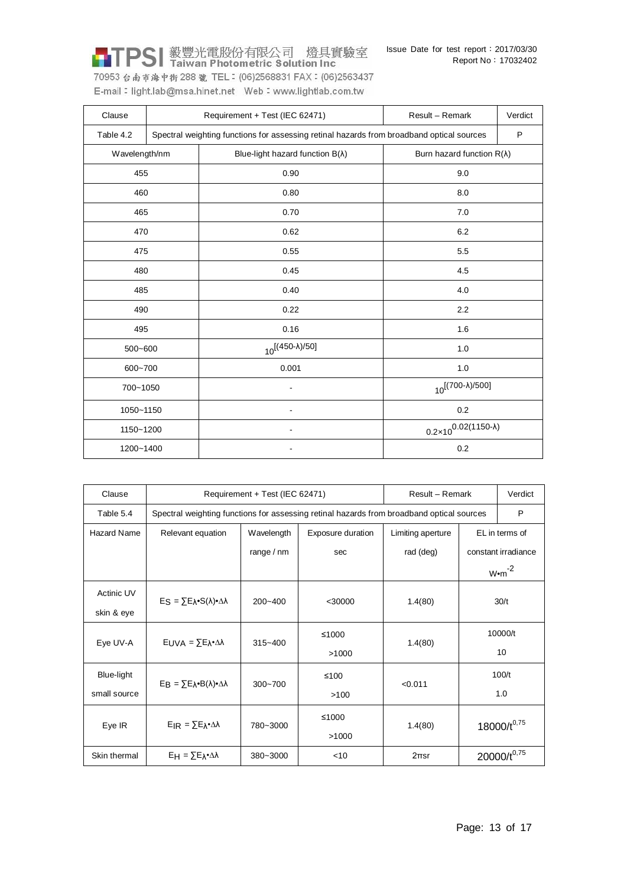**DS** | 毅豐光電股份有限公司 燈具實驗室 70953 台南市海中街 288 號 TEL: (06)2568831 FAX: (06)2563437

|                                                                                                        | E-mail: light.lab@msa.hinet.net Web: www.lightlab.com.tw |  |                                         |                                   |         |  |  |
|--------------------------------------------------------------------------------------------------------|----------------------------------------------------------|--|-----------------------------------------|-----------------------------------|---------|--|--|
|                                                                                                        | Clause<br>Requirement + Test (IEC 62471)                 |  |                                         | Result - Remark                   | Verdict |  |  |
| Table 4.2<br>Spectral weighting functions for assessing retinal hazards from broadband optical sources |                                                          |  |                                         | P                                 |         |  |  |
| Wavelength/nm                                                                                          |                                                          |  | Blue-light hazard function $B(\lambda)$ | Burn hazard function $R(\lambda)$ |         |  |  |
| 455                                                                                                    |                                                          |  | 0.90                                    | 9.0                               |         |  |  |
| 460                                                                                                    |                                                          |  | 0.80                                    | 8.0                               |         |  |  |
| 465                                                                                                    |                                                          |  | 0.70                                    | 7.0                               |         |  |  |
| 470                                                                                                    |                                                          |  | 0.62                                    | 6.2                               |         |  |  |
| 475                                                                                                    |                                                          |  | 0.55                                    | 5.5                               |         |  |  |
|                                                                                                        |                                                          |  |                                         |                                   |         |  |  |

| 490       | 0.22                      | 2.2                                  |
|-----------|---------------------------|--------------------------------------|
| 495       | 0.16                      | 1.6                                  |
| 500~600   | $10^{[(450-\lambda)/50]}$ | 1.0                                  |
| 600~700   | 0.001                     | 1.0                                  |
| 700~1050  | ۰                         | $10^{[(700-\lambda)/500]}$           |
| 1050~1150 |                           | 0.2                                  |
| 1150~1200 | ۰                         | $0.2 \times 10^{0.02(1150-\lambda)}$ |
| 1200~1400 |                           | 0.2                                  |

480 and the contract of the contract of the contract of the contract of the contract of the contract of the contract of the contract of the contract of the contract of the contract of the contract of the contract of the co 485 0.40 4.0

| Clause             |                                                                | Requirement + Test (IEC 62471) | Result - Remark   |                                                                                                | Verdict          |                     |  |
|--------------------|----------------------------------------------------------------|--------------------------------|-------------------|------------------------------------------------------------------------------------------------|------------------|---------------------|--|
| Table 5.4          |                                                                |                                |                   | Spectral weighting functions for assessing retinal hazards from broadband optical sources<br>P |                  |                     |  |
| <b>Hazard Name</b> | Relevant equation                                              | Wavelength                     | Exposure duration | Limiting aperture                                                                              | EL in terms of   |                     |  |
|                    |                                                                | range $/$ nm                   | sec               | rad (deg)                                                                                      |                  | constant irradiance |  |
|                    |                                                                |                                |                   |                                                                                                |                  | $W \cdot m^{-2}$    |  |
| <b>Actinic UV</b>  |                                                                |                                |                   |                                                                                                |                  |                     |  |
| skin & eye         | $E_S = \sum E_{\lambda} S(\lambda) \cdot \Delta \lambda$       | $200 - 400$                    | $<$ 30000         | 1.4(80)                                                                                        | 30/t             |                     |  |
|                    |                                                                |                                | ≤1000             |                                                                                                |                  | 10000/t             |  |
| Eye UV-A           | $E[JVA = \sum E_{\lambda} A \lambda]$                          | $315 - 400$                    | >1000             | 1.4(80)                                                                                        | 10               |                     |  |
| Blue-light         |                                                                |                                | $≤100$            |                                                                                                |                  | 100/t               |  |
| small source       | $E_B = \sum E_{\lambda} \cdot B(\lambda) \cdot \Delta \lambda$ | $300 - 700$                    | >100              | < 0.011                                                                                        |                  | 1.0                 |  |
|                    |                                                                |                                | ≤1000             |                                                                                                |                  |                     |  |
| Eye IR             | $EIR = \sum E\lambda \cdot \Delta \lambda$                     | 780~3000                       | >1000             | 1.4(80)                                                                                        | $18000/t^{0.75}$ |                     |  |
| Skin thermal       | $E_H = \sum E_{\lambda} \cdot \Delta \lambda$                  | 380~3000                       | < 10              | $2\pi$ sr                                                                                      |                  | $20000/t^{0.75}$    |  |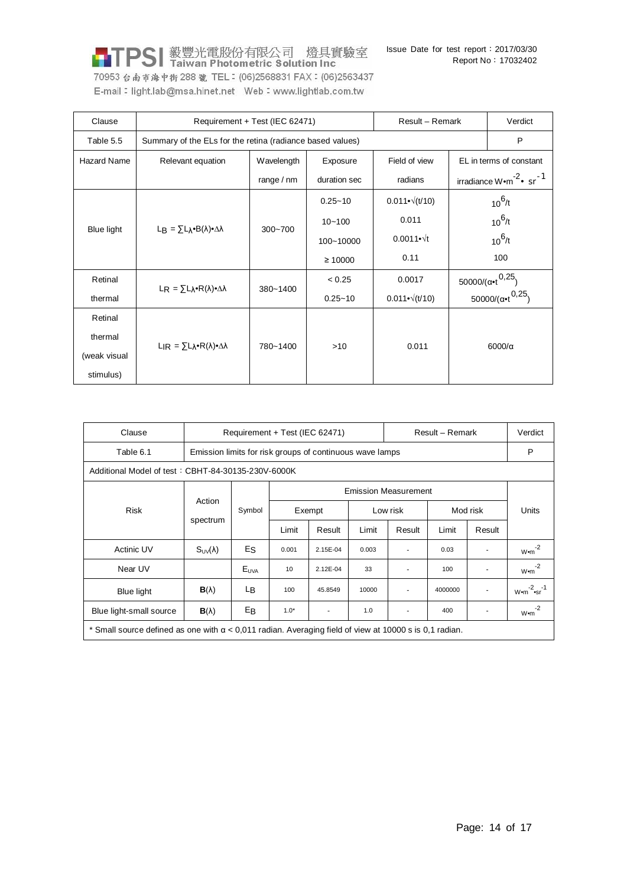| 70953 台南市海中街 288 號 TEL:(06)2568831 FAX:(06)2563437       |  |
|----------------------------------------------------------|--|
| E-mail: light.lab@msa.hinet.net Web: www.lightlab.com.tw |  |

| Clause            |                                                                | Requirement + Test (IEC 62471)          | Result - Remark |                             | Verdict                 |                                                   |
|-------------------|----------------------------------------------------------------|-----------------------------------------|-----------------|-----------------------------|-------------------------|---------------------------------------------------|
| Table 5.5         | Summary of the ELs for the retina (radiance based values)      |                                         |                 |                             |                         | P                                                 |
| Hazard Name       | Relevant equation                                              | Wavelength<br>Field of view<br>Exposure |                 |                             | EL in terms of constant |                                                   |
|                   |                                                                | range / nm                              | duration sec    | radians                     |                         | irradiance $W \cdot m^{-2} \cdot sr^{-1}$         |
|                   |                                                                |                                         | $0.25 - 10$     | $0.011 \cdot \sqrt{(t/10)}$ | $10^{6}/t$              |                                                   |
| <b>Blue light</b> | $L_B = \sum L_{\lambda} \cdot B(\lambda) \cdot \Delta \lambda$ | $300 - 700$                             | $10 - 100$      | 0.011                       | $10^{6}/t$              |                                                   |
|                   |                                                                |                                         | 100~10000       | $0.0011 \cdot \sqrt{t}$     | $10^{6}/t$              |                                                   |
|                   |                                                                |                                         | $\geq 10000$    | 0.11                        |                         | 100                                               |
| Retinal           | $L_R = \sum L_{\lambda} \cdot R(\lambda) \cdot \Delta \lambda$ | 380~1400                                | < 0.25          | 0.0017                      |                         | $50000/(\alpha \cdot t^{0,25})$                   |
| thermal           |                                                                |                                         | $0.25 - 10$     | $0.011 \cdot \sqrt{(t/10)}$ |                         | 50000/( $\alpha$ <sup>t</sup> ) <sup>0,25</sup> ) |
| Retinal           |                                                                |                                         |                 |                             |                         |                                                   |
| thermal           | LIR = $\Sigma L \lambda \cdot R(\lambda) \cdot \Delta \lambda$ | 780~1400                                | $>10$           | 0.011                       |                         | $6000/\alpha$                                     |
| (weak visual      |                                                                |                                         |                 |                             |                         |                                                   |
| stimulus)         |                                                                |                                         |                 |                             |                         |                                                   |

| Clause                                                                                                        | Requirement + Test (IEC 62471)                           |                  |                             |          |          | Result - Remark |          |        | Verdict             |
|---------------------------------------------------------------------------------------------------------------|----------------------------------------------------------|------------------|-----------------------------|----------|----------|-----------------|----------|--------|---------------------|
| Table 6.1                                                                                                     | Emission limits for risk groups of continuous wave lamps |                  |                             |          |          |                 |          |        | P                   |
| Additional Model of test: CBHT-84-30135-230V-6000K                                                            |                                                          |                  |                             |          |          |                 |          |        |                     |
|                                                                                                               |                                                          |                  | <b>Emission Measurement</b> |          |          |                 |          |        |                     |
| <b>Risk</b>                                                                                                   | Action<br>spectrum                                       | Symbol           | Exempt                      |          | Low risk |                 | Mod risk |        | <b>Units</b>        |
|                                                                                                               |                                                          |                  | Limit                       | Result   | Limit    | Result          | Limit    | Result |                     |
| Actinic UV                                                                                                    | $S_{UV}(\lambda)$                                        | E <sub>S</sub>   | 0.001                       | 2.15E-04 | 0.003    |                 | 0.03     |        | $-2$<br>W•m         |
| Near UV                                                                                                       |                                                          | $E_{\text{UVA}}$ | 10                          | 2.12E-04 | 33       |                 | 100      |        | $-2$<br>W•m         |
| <b>Blue light</b>                                                                                             | $B(\lambda)$                                             | LB.              | 100                         | 45.8549  | 10000    |                 | 4000000  |        | $-2 - 1$<br>W•m •sr |
| Blue light-small source                                                                                       | $B(\lambda)$                                             | EB               | $1.0*$                      |          | 1.0      |                 | 400      |        | $-2$<br>W•m         |
| * Small source defined as one with $\alpha$ < 0,011 radian. Averaging field of view at 10000 s is 0,1 radian. |                                                          |                  |                             |          |          |                 |          |        |                     |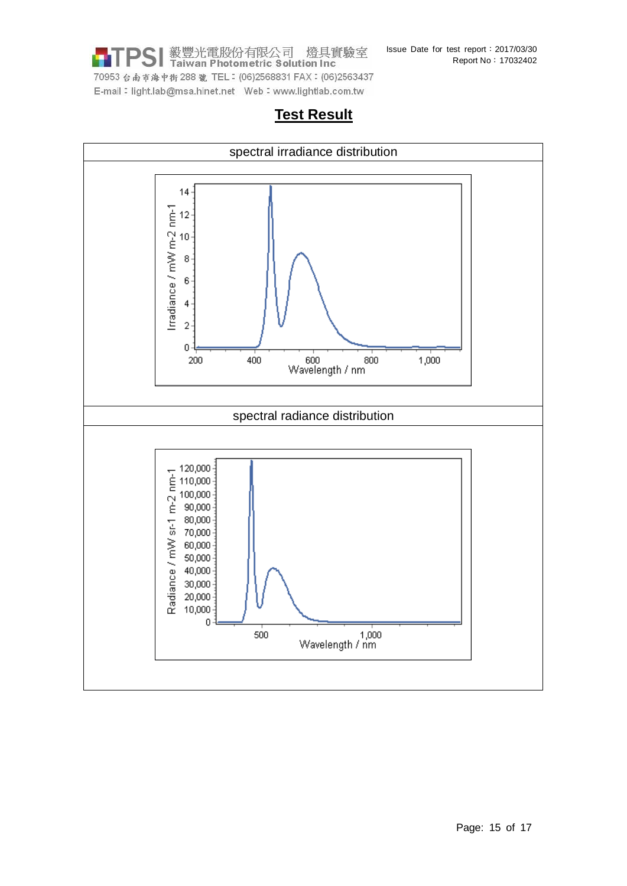毅豐光電股份有限公司 燈具實驗室<br>Taiwan Photometric Solution Inc SI 70953 台南市海中街 288 號 TEL: (06)2568831 FAX: (06)2563437 E-mail: light.lab@msa.hinet.net Web: www.lightlab.com.tw

#### **Test Result**

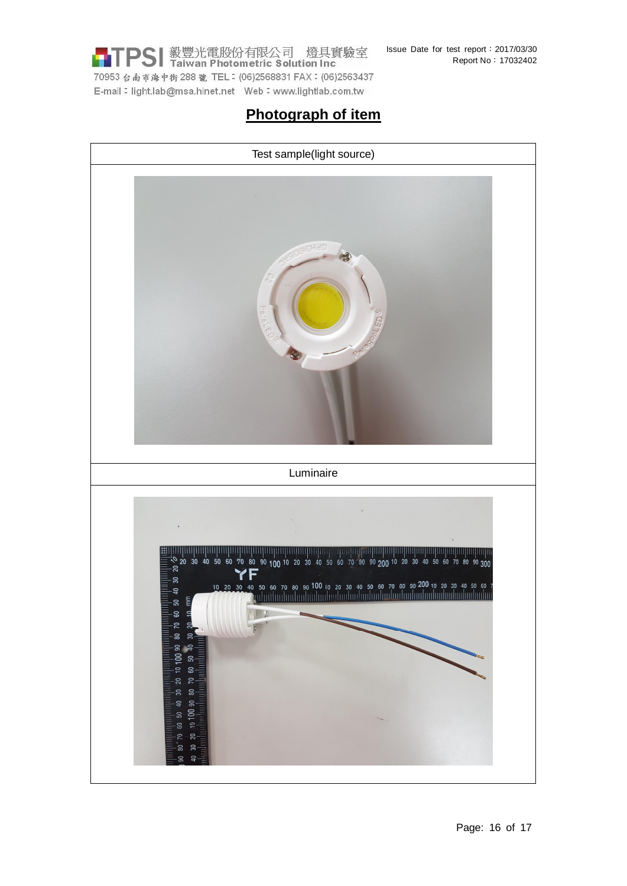

### **Photograph of item**